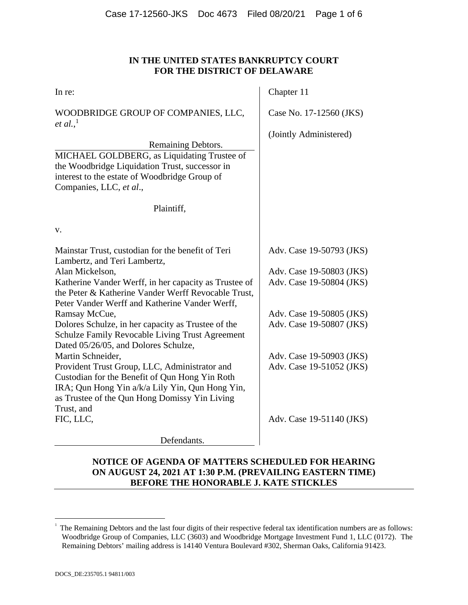#### **IN THE UNITED STATES BANKRUPTCY COURT FOR THE DISTRICT OF DELAWARE**

| In re:                                                                                                                                                                                                            | Chapter 11               |
|-------------------------------------------------------------------------------------------------------------------------------------------------------------------------------------------------------------------|--------------------------|
| WOODBRIDGE GROUP OF COMPANIES, LLC,<br><i>et al.</i> , <sup>1</sup>                                                                                                                                               | Case No. 17-12560 (JKS)  |
|                                                                                                                                                                                                                   | (Jointly Administered)   |
| Remaining Debtors.                                                                                                                                                                                                |                          |
| MICHAEL GOLDBERG, as Liquidating Trustee of<br>the Woodbridge Liquidation Trust, successor in<br>interest to the estate of Woodbridge Group of<br>Companies, LLC, et al.,                                         |                          |
| Plaintiff,                                                                                                                                                                                                        |                          |
| V.                                                                                                                                                                                                                |                          |
| Mainstar Trust, custodian for the benefit of Teri                                                                                                                                                                 | Adv. Case 19-50793 (JKS) |
| Lambertz, and Teri Lambertz,<br>Alan Mickelson,                                                                                                                                                                   | Adv. Case 19-50803 (JKS) |
| Katherine Vander Werff, in her capacity as Trustee of<br>the Peter & Katherine Vander Werff Revocable Trust,<br>Peter Vander Werff and Katherine Vander Werff,                                                    | Adv. Case 19-50804 (JKS) |
| Ramsay McCue,                                                                                                                                                                                                     | Adv. Case 19-50805 (JKS) |
| Dolores Schulze, in her capacity as Trustee of the<br>Schulze Family Revocable Living Trust Agreement<br>Dated 05/26/05, and Dolores Schulze,                                                                     | Adv. Case 19-50807 (JKS) |
| Martin Schneider,                                                                                                                                                                                                 | Adv. Case 19-50903 (JKS) |
| Provident Trust Group, LLC, Administrator and<br>Custodian for the Benefit of Qun Hong Yin Roth<br>IRA; Qun Hong Yin a/k/a Lily Yin, Qun Hong Yin,<br>as Trustee of the Qun Hong Domissy Yin Living<br>Trust, and | Adv. Case 19-51052 (JKS) |
| FIC, LLC,                                                                                                                                                                                                         | Adv. Case 19-51140 (JKS) |
| Defendants.                                                                                                                                                                                                       |                          |

## **NOTICE OF AGENDA OF MATTERS SCHEDULED FOR HEARING ON AUGUST 24, 2021 AT 1:30 P.M. (PREVAILING EASTERN TIME) BEFORE THE HONORABLE J. KATE STICKLES**

 $\overline{a}$ 

<sup>1</sup> The Remaining Debtors and the last four digits of their respective federal tax identification numbers are as follows: Woodbridge Group of Companies, LLC (3603) and Woodbridge Mortgage Investment Fund 1, LLC (0172). The Remaining Debtors' mailing address is 14140 Ventura Boulevard #302, Sherman Oaks, California 91423.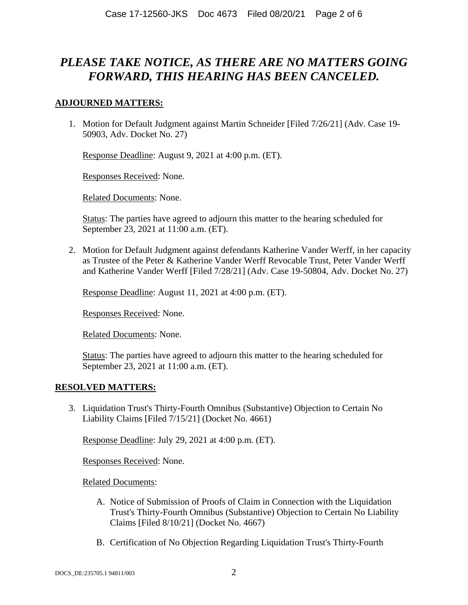# *PLEASE TAKE NOTICE, AS THERE ARE NO MATTERS GOING FORWARD, THIS HEARING HAS BEEN CANCELED.*

### **ADJOURNED MATTERS:**

1. Motion for Default Judgment against Martin Schneider [Filed 7/26/21] (Adv. Case 19- 50903, Adv. Docket No. 27)

Response Deadline: August 9, 2021 at 4:00 p.m. (ET).

Responses Received: None.

Related Documents: None.

Status: The parties have agreed to adjourn this matter to the hearing scheduled for September 23, 2021 at 11:00 a.m. (ET).

2. Motion for Default Judgment against defendants Katherine Vander Werff, in her capacity as Trustee of the Peter & Katherine Vander Werff Revocable Trust, Peter Vander Werff and Katherine Vander Werff [Filed 7/28/21] (Adv. Case 19-50804, Adv. Docket No. 27)

Response Deadline: August 11, 2021 at 4:00 p.m. (ET).

Responses Received: None.

Related Documents: None.

Status: The parties have agreed to adjourn this matter to the hearing scheduled for September 23, 2021 at 11:00 a.m. (ET).

#### **RESOLVED MATTERS:**

3. Liquidation Trust's Thirty-Fourth Omnibus (Substantive) Objection to Certain No Liability Claims [Filed 7/15/21] (Docket No. 4661)

Response Deadline: July 29, 2021 at 4:00 p.m. (ET).

Responses Received: None.

Related Documents:

- A. Notice of Submission of Proofs of Claim in Connection with the Liquidation Trust's Thirty-Fourth Omnibus (Substantive) Objection to Certain No Liability Claims [Filed 8/10/21] (Docket No. 4667)
- B. Certification of No Objection Regarding Liquidation Trust's Thirty-Fourth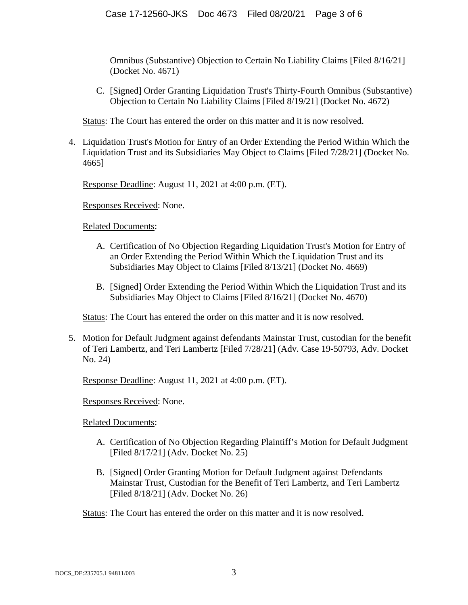Omnibus (Substantive) Objection to Certain No Liability Claims [Filed 8/16/21] (Docket No. 4671)

C. [Signed] Order Granting Liquidation Trust's Thirty-Fourth Omnibus (Substantive) Objection to Certain No Liability Claims [Filed 8/19/21] (Docket No. 4672)

Status: The Court has entered the order on this matter and it is now resolved.

4. Liquidation Trust's Motion for Entry of an Order Extending the Period Within Which the Liquidation Trust and its Subsidiaries May Object to Claims [Filed 7/28/21] (Docket No. 4665]

Response Deadline: August 11, 2021 at 4:00 p.m. (ET).

Responses Received: None.

Related Documents:

- A. Certification of No Objection Regarding Liquidation Trust's Motion for Entry of an Order Extending the Period Within Which the Liquidation Trust and its Subsidiaries May Object to Claims [Filed 8/13/21] (Docket No. 4669)
- B. [Signed] Order Extending the Period Within Which the Liquidation Trust and its Subsidiaries May Object to Claims [Filed 8/16/21] (Docket No. 4670)

Status: The Court has entered the order on this matter and it is now resolved.

5. Motion for Default Judgment against defendants Mainstar Trust, custodian for the benefit of Teri Lambertz, and Teri Lambertz [Filed 7/28/21] (Adv. Case 19-50793, Adv. Docket No. 24)

Response Deadline: August 11, 2021 at 4:00 p.m. (ET).

Responses Received: None.

Related Documents:

- A. Certification of No Objection Regarding Plaintiff's Motion for Default Judgment [Filed 8/17/21] (Adv. Docket No. 25)
- B. [Signed] Order Granting Motion for Default Judgment against Defendants Mainstar Trust, Custodian for the Benefit of Teri Lambertz, and Teri Lambertz [Filed 8/18/21] (Adv. Docket No. 26)

Status: The Court has entered the order on this matter and it is now resolved.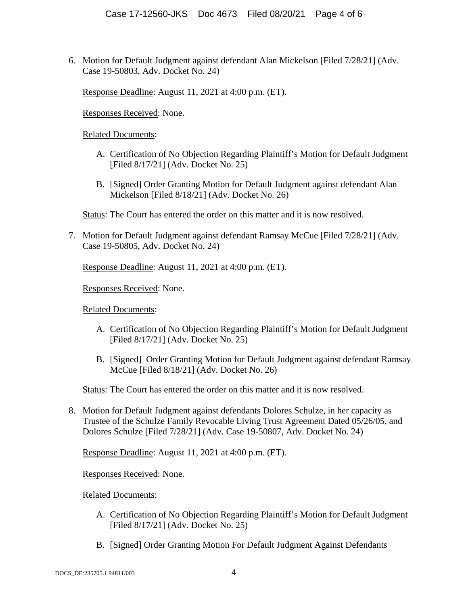6. Motion for Default Judgment against defendant Alan Mickelson [Filed 7/28/21] (Adv. Case 19-50803, Adv. Docket No. 24)

Response Deadline: August 11, 2021 at 4:00 p.m. (ET).

Responses Received: None.

Related Documents:

- A. Certification of No Objection Regarding Plaintiff's Motion for Default Judgment [Filed 8/17/21] (Adv. Docket No. 25)
- B. [Signed] Order Granting Motion for Default Judgment against defendant Alan Mickelson [Filed 8/18/21] (Adv. Docket No. 26)

Status: The Court has entered the order on this matter and it is now resolved.

7. Motion for Default Judgment against defendant Ramsay McCue [Filed 7/28/21] (Adv. Case 19-50805, Adv. Docket No. 24)

Response Deadline: August 11, 2021 at 4:00 p.m. (ET).

Responses Received: None.

Related Documents:

- A. Certification of No Objection Regarding Plaintiff's Motion for Default Judgment [Filed 8/17/21] (Adv. Docket No. 25)
- B. [Signed] Order Granting Motion for Default Judgment against defendant Ramsay McCue [Filed 8/18/21] (Adv. Docket No. 26)

Status: The Court has entered the order on this matter and it is now resolved.

8. Motion for Default Judgment against defendants Dolores Schulze, in her capacity as Trustee of the Schulze Family Revocable Living Trust Agreement Dated 05/26/05, and Dolores Schulze [Filed 7/28/21] (Adv. Case 19-50807, Adv. Docket No. 24)

Response Deadline: August 11, 2021 at 4:00 p.m. (ET).

Responses Received: None.

Related Documents:

- A. Certification of No Objection Regarding Plaintiff's Motion for Default Judgment [Filed 8/17/21] (Adv. Docket No. 25)
- B. [Signed] Order Granting Motion For Default Judgment Against Defendants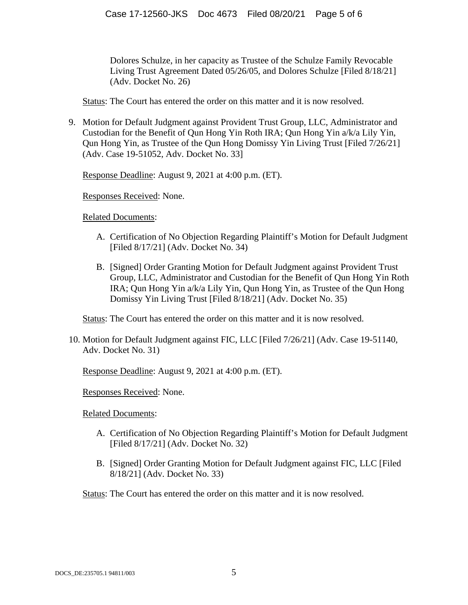Dolores Schulze, in her capacity as Trustee of the Schulze Family Revocable Living Trust Agreement Dated 05/26/05, and Dolores Schulze [Filed 8/18/21] (Adv. Docket No. 26)

Status: The Court has entered the order on this matter and it is now resolved.

9. Motion for Default Judgment against Provident Trust Group, LLC, Administrator and Custodian for the Benefit of Qun Hong Yin Roth IRA; Qun Hong Yin a/k/a Lily Yin, Qun Hong Yin, as Trustee of the Qun Hong Domissy Yin Living Trust [Filed 7/26/21] (Adv. Case 19-51052, Adv. Docket No. 33]

Response Deadline: August 9, 2021 at 4:00 p.m. (ET).

Responses Received: None.

Related Documents:

- A. Certification of No Objection Regarding Plaintiff's Motion for Default Judgment [Filed 8/17/21] (Adv. Docket No. 34)
- B. [Signed] Order Granting Motion for Default Judgment against Provident Trust Group, LLC, Administrator and Custodian for the Benefit of Qun Hong Yin Roth IRA; Qun Hong Yin a/k/a Lily Yin, Qun Hong Yin, as Trustee of the Qun Hong Domissy Yin Living Trust [Filed 8/18/21] (Adv. Docket No. 35)

Status: The Court has entered the order on this matter and it is now resolved.

10. Motion for Default Judgment against FIC, LLC [Filed 7/26/21] (Adv. Case 19-51140, Adv. Docket No. 31)

Response Deadline: August 9, 2021 at 4:00 p.m. (ET).

Responses Received: None.

Related Documents:

- A. Certification of No Objection Regarding Plaintiff's Motion for Default Judgment [Filed 8/17/21] (Adv. Docket No. 32)
- B. [Signed] Order Granting Motion for Default Judgment against FIC, LLC [Filed 8/18/21] (Adv. Docket No. 33)

Status: The Court has entered the order on this matter and it is now resolved.